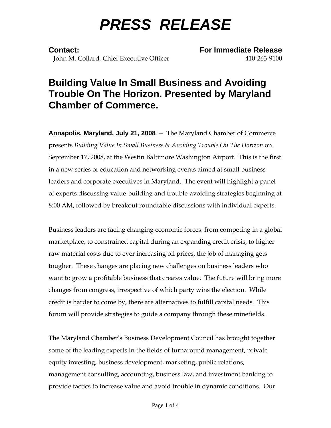# *PRESS RELEASE*

**Contact: For Immediate Release** John M. Collard, Chief Executive Officer 410-263-9100

## **Building Value In Small Business and Avoiding Trouble On The Horizon. Presented by Maryland Chamber of Commerce.**

**Annapolis, Maryland, July 21, 2008** -- The Maryland Chamber of Commerce presents *Building Value In Small Business & Avoiding Trouble On The Horizon* on September 17, 2008, at the Westin Baltimore Washington Airport. This is the first in a new series of education and networking events aimed at small business leaders and corporate executives in Maryland. The event will highlight a panel of experts discussing value-building and trouble-avoiding strategies beginning at 8:00 AM, followed by breakout roundtable discussions with individual experts.

Business leaders are facing changing economic forces: from competing in a global marketplace, to constrained capital during an expanding credit crisis, to higher raw material costs due to ever increasing oil prices, the job of managing gets tougher. These changes are placing new challenges on business leaders who want to grow a profitable business that creates value. The future will bring more changes from congress, irrespective of which party wins the election. While credit is harder to come by, there are alternatives to fulfill capital needs. This forum will provide strategies to guide a company through these minefields.

The Maryland Chamber's Business Development Council has brought together some of the leading experts in the fields of turnaround management, private equity investing, business development, marketing, public relations, management consulting, accounting, business law, and investment banking to provide tactics to increase value and avoid trouble in dynamic conditions. Our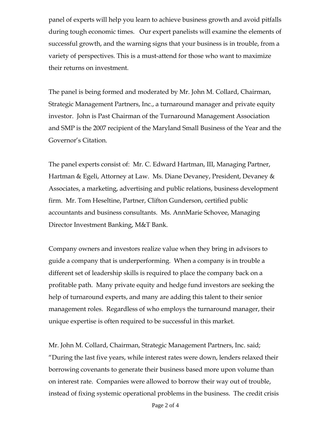panel of experts will help you learn to achieve business growth and avoid pitfalls during tough economic times. Our expert panelists will examine the elements of successful growth, and the warning signs that your business is in trouble, from a variety of perspectives. This is a must-attend for those who want to maximize their returns on investment.

The panel is being formed and moderated by Mr. John M. Collard, Chairman, Strategic Management Partners, Inc., a turnaround manager and private equity investor. John is Past Chairman of the Turnaround Management Association and SMP is the 2007 recipient of the Maryland Small Business of the Year and the Governor's Citation.

The panel experts consist of: Mr. C. Edward Hartman, III, Managing Partner, Hartman & Egeli, Attorney at Law. Ms. Diane Devaney, President, Devaney & Associates, a marketing, advertising and public relations, business development firm. Mr. Tom Heseltine, Partner, Clifton Gunderson, certified public accountants and business consultants. Ms. AnnMarie Schovee, Managing Director Investment Banking, M&T Bank.

Company owners and investors realize value when they bring in advisors to guide a company that is underperforming. When a company is in trouble a different set of leadership skills is required to place the company back on a profitable path. Many private equity and hedge fund investors are seeking the help of turnaround experts, and many are adding this talent to their senior management roles. Regardless of who employs the turnaround manager, their unique expertise is often required to be successful in this market.

Mr. John M. Collard, Chairman, Strategic Management Partners, Inc. said; "During the last five years, while interest rates were down, lenders relaxed their borrowing covenants to generate their business based more upon volume than on interest rate. Companies were allowed to borrow their way out of trouble, instead of fixing systemic operational problems in the business. The credit crisis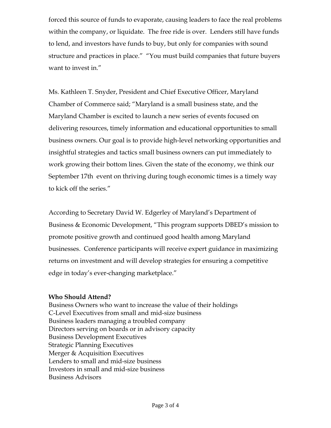forced this source of funds to evaporate, causing leaders to face the real problems within the company, or liquidate. The free ride is over. Lenders still have funds to lend, and investors have funds to buy, but only for companies with sound structure and practices in place." "You must build companies that future buyers want to invest in."

Ms. Kathleen T. Snyder, President and Chief Executive Officer, Maryland Chamber of Commerce said; "Maryland is a small business state, and the Maryland Chamber is excited to launch a new series of events focused on delivering resources, timely information and educational opportunities to small business owners. Our goal is to provide high-level networking opportunities and insightful strategies and tactics small business owners can put immediately to work growing their bottom lines. Given the state of the economy, we think our September 17th event on thriving during tough economic times is a timely way to kick off the series."

According to Secretary David W. Edgerley of Maryland's Department of Business & Economic Development, "This program supports DBED's mission to promote positive growth and continued good health among Maryland businesses. Conference participants will receive expert guidance in maximizing returns on investment and will develop strategies for ensuring a competitive edge in today's ever-changing marketplace."

#### **Who Should Attend?**

Business Owners who want to increase the value of their holdings C-Level Executives from small and mid-size business Business leaders managing a troubled company Directors serving on boards or in advisory capacity Business Development Executives Strategic Planning Executives Merger & Acquisition Executives Lenders to small and mid-size business Investors in small and mid-size business Business Advisors